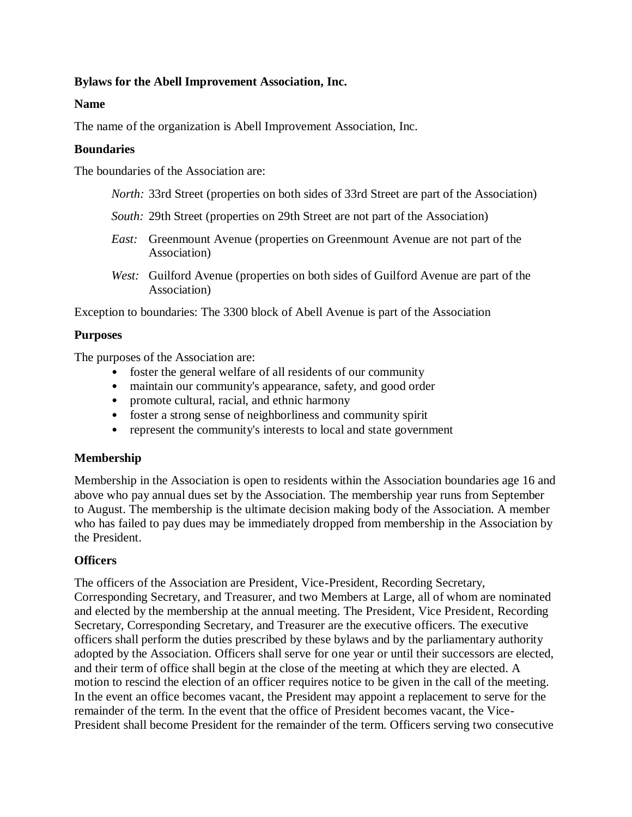### **Bylaws for the Abell Improvement Association, Inc.**

#### **Name**

The name of the organization is Abell Improvement Association, Inc.

#### **Boundaries**

The boundaries of the Association are:

- *North:* 33rd Street (properties on both sides of 33rd Street are part of the Association)
- *South:* 29th Street (properties on 29th Street are not part of the Association)
- *East:* Greenmount Avenue (properties on Greenmount Avenue are not part of the Association)
- *West:* Guilford Avenue (properties on both sides of Guilford Avenue are part of the Association)

Exception to boundaries: The 3300 block of Abell Avenue is part of the Association

## **Purposes**

The purposes of the Association are:

- foster the general welfare of all residents of our community
- maintain our community's appearance, safety, and good order
- promote cultural, racial, and ethnic harmony
- foster a strong sense of neighborliness and community spirit
- represent the community's interests to local and state government

## **Membership**

Membership in the Association is open to residents within the Association boundaries age 16 and above who pay annual dues set by the Association. The membership year runs from September to August. The membership is the ultimate decision making body of the Association. A member who has failed to pay dues may be immediately dropped from membership in the Association by the President.

## **Officers**

The officers of the Association are President, Vice-President, Recording Secretary, Corresponding Secretary, and Treasurer, and two Members at Large, all of whom are nominated and elected by the membership at the annual meeting. The President, Vice President, Recording Secretary, Corresponding Secretary, and Treasurer are the executive officers. The executive officers shall perform the duties prescribed by these bylaws and by the parliamentary authority adopted by the Association. Officers shall serve for one year or until their successors are elected, and their term of office shall begin at the close of the meeting at which they are elected. A motion to rescind the election of an officer requires notice to be given in the call of the meeting. In the event an office becomes vacant, the President may appoint a replacement to serve for the remainder of the term. In the event that the office of President becomes vacant, the Vice-President shall become President for the remainder of the term. Officers serving two consecutive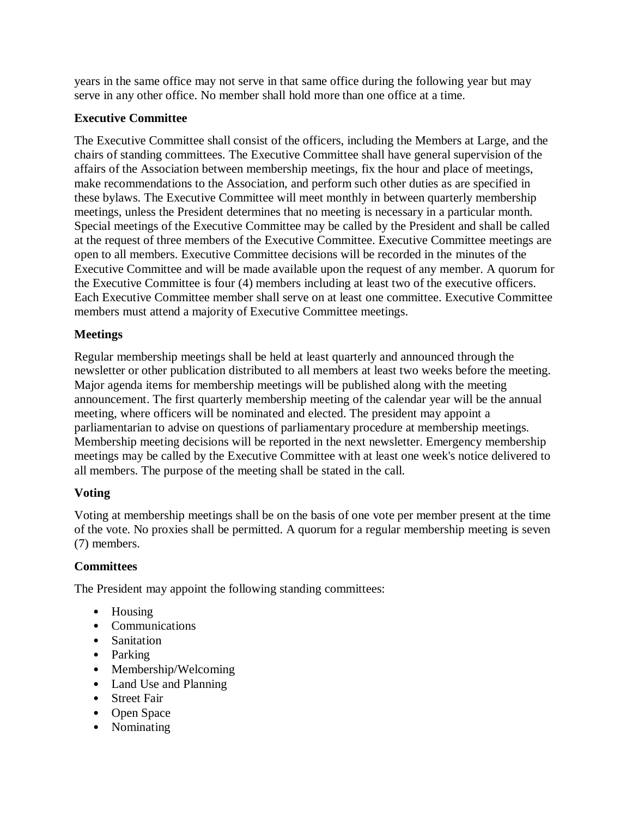years in the same office may not serve in that same office during the following year but may serve in any other office. No member shall hold more than one office at a time.

## **Executive Committee**

The Executive Committee shall consist of the officers, including the Members at Large, and the chairs of standing committees. The Executive Committee shall have general supervision of the affairs of the Association between membership meetings, fix the hour and place of meetings, make recommendations to the Association, and perform such other duties as are specified in these bylaws. The Executive Committee will meet monthly in between quarterly membership meetings, unless the President determines that no meeting is necessary in a particular month. Special meetings of the Executive Committee may be called by the President and shall be called at the request of three members of the Executive Committee. Executive Committee meetings are open to all members. Executive Committee decisions will be recorded in the minutes of the Executive Committee and will be made available upon the request of any member. A quorum for the Executive Committee is four (4) members including at least two of the executive officers. Each Executive Committee member shall serve on at least one committee. Executive Committee members must attend a majority of Executive Committee meetings.

## **Meetings**

Regular membership meetings shall be held at least quarterly and announced through the newsletter or other publication distributed to all members at least two weeks before the meeting. Major agenda items for membership meetings will be published along with the meeting announcement. The first quarterly membership meeting of the calendar year will be the annual meeting, where officers will be nominated and elected. The president may appoint a parliamentarian to advise on questions of parliamentary procedure at membership meetings. Membership meeting decisions will be reported in the next newsletter. Emergency membership meetings may be called by the Executive Committee with at least one week's notice delivered to all members. The purpose of the meeting shall be stated in the call.

# **Voting**

Voting at membership meetings shall be on the basis of one vote per member present at the time of the vote. No proxies shall be permitted. A quorum for a regular membership meeting is seven (7) members.

# **Committees**

The President may appoint the following standing committees:

- Housing
- Communications
- Sanitation
- Parking
- Membership/Welcoming
- Land Use and Planning
- Street Fair
- Open Space
- Nominating